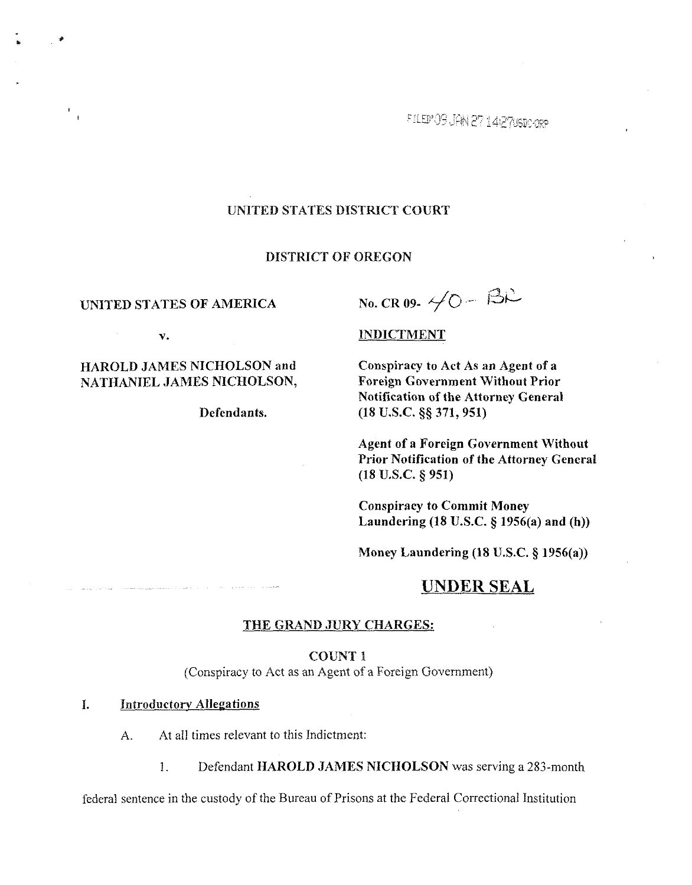FILED OF JAN 27 142708D-0RP

## UNITED STATES DISTRICT COURT

#### DISTRICT OF OREGON

UNITED STATES OF AMERICA No. CR 09-  $\neq O - \beta \mathcal{R}$ 

 $\frac{1}{\sqrt{2}}$ 

# HAROLD JAMES NICHOLSON and Conspiracy to Act As an Agent of a NATHANIEL JAMES NICHOLSON, Foreign Government Without Prior

v. **INDICTMENT** 

Notification of the Attorney General Defendants. (18 U.S.C. §§ 371, 951)

> Agent of a Foreign Government Without Prior Notification of the Attorney General (18 U.S.C. **9** 951)

Conspiracy to Commit Money Laundering  $(18$  U.S.C.  $\S$  1956(a) and (h))

Money Laundering  $(18 \text{ U.S.C.} \S 1956(a))$ 

# **UNDER SEAL**

## THE GRAND JURY CHARGES:

#### COUNT 1

(Conspiracy to Act as an Agent of a Foreign Government)

### **1.** Introductorv Allegations

**A.** At all times relevant to this Indictment:

1. Defendant HAROLD JAMES NICHOLSON was serving a 283-month

federal sentence in the custody of the Bureau of Prisons at the Federal Correctional Institution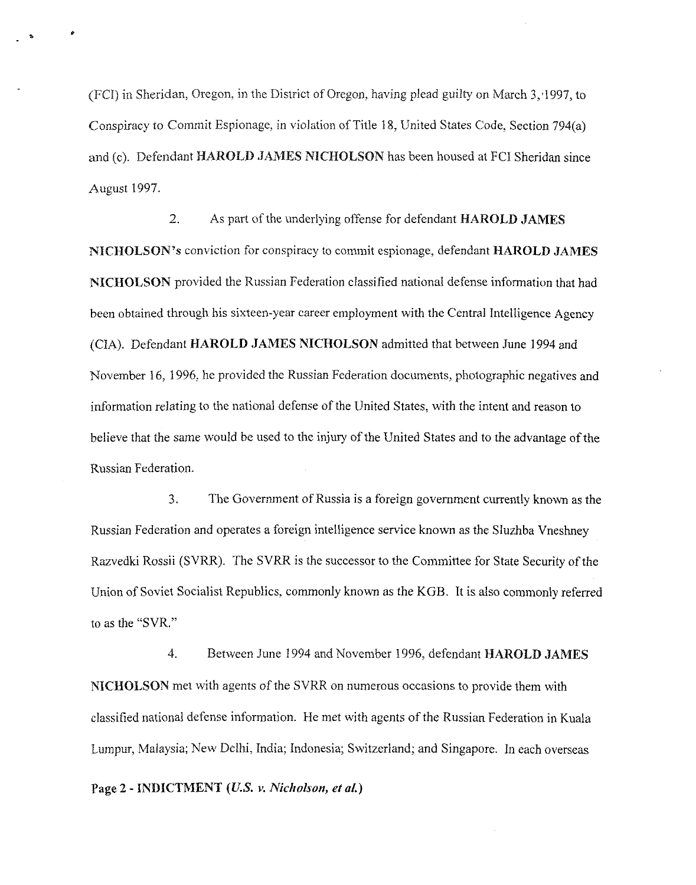(FCI) in Sheridan, Oregon, in the District of Oregon, having plead guilty on March 3,'1997, to Conspiracy to Commit Espionage, in violation of Title 18. United States Code, Section 794(a) and (c). Defendant **HAROLD JAMES NICHOLSON** has been housed at FCI Sheridan since August 1997.

2. As part of the underlying offense for defendant **HAROLD JAMES NICHOLSON'S** conviction for conspiracy to commit espionage, defendant **HAROLD JAMES NICHOLSON** provided the Russian Federation classified national defense information that had been obtained through his sixteen-year career employment with the Central Intelligence Agency (CIA). Defendant **HAROLD JAMES NICHOLSON** admitted that between June 1994 and November 16, 1996. he provided the Russian Federation documents, photographic negatives and information relating to the national defense of the United States, with the intent and reason to believe that the same would he used to the injury of the United States and to the advantage of the Russian Federation.

**3.** The Government of Russia is a foreign government currently known as the Russian Federation and operates a foreign intelligence service known as the Sfuzhba Vneshney Razvedki Rossii (SVRR). The SVRR is the successor to the Committee for State Security of the Union of Soviet Socialist Republics. commonly known as the KGB. It is also commonly referred to as the "SVR."

4. Between June 1994 and November 1996, defendant **HAROLD JAMES NICHOLSON** met with agents of the SVRR on numerous occasions to provide them with classified national defense information. He met with agents of the Russian Federation in Kuala Lumpur, Malaysia; New Delhi, India; Indonesia; Switzerland; and Singapore. In each overseas

**Page 2** - **INDICTMENT** *(U.S.* **v. Nicholson,** *et al.)*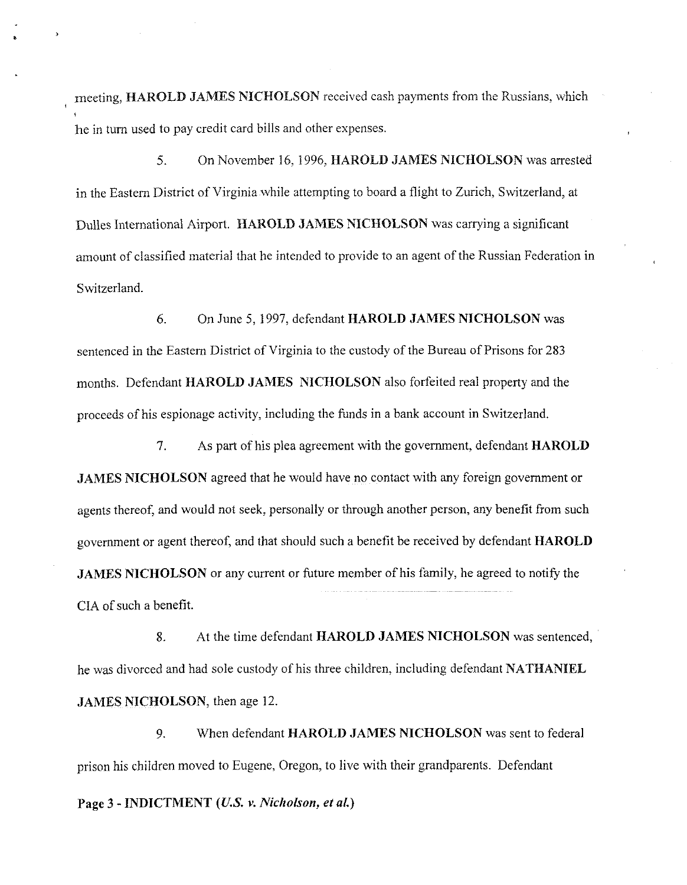meeting, **HAROLD JAMES NICHOLSON** received cash payments from the Russians, which he in turn used to pay credit card bills and other expenses.

5. On November 16. 1996, **HAROLD JAMES NICHOLSON** was arrested in the Eastern District of Virginia while attempting to board a flight to Zurich. Switzerland, at Dulles International Airport. **HAROLD JAMES NICHOLSON** was carrying a significant amount of classified material that he intended to provide to an agent of the Russian Federation in Switzerland.

*6.* On June 5, 1997, defendant **HAROLD JAMES NICHOLSON** was sentenced in the Eastern District of Virginia to the custody of the Bureau of Prisons for 283 months. Defendant **HAROLD JAMES NICHOLSON** also forfeited real property and the proceeds of his espionage activity, including the funds in a bank account in Switzerland.

7. As part of his plea agreement with the government, defendant **HAROLD JAMES NICHOLSON** agreed that he would have no contact with any foreign government or agents thereof, and would not seek, personally or through another person, any benefit from such government or agent thereof, and that should such a benefit be received by defendant **HAROLD JAMES NICHOLSON** or any current or future member of his family, he agreed to notify the **CIA** of such a benefit.

8. At the time defendant **HAROLD JAMES NICHOLSON** was sentenced, he was divorced and had sole custody of his three children, including defendant **NATHANIEL JAMES NICHOLSON,** then age **12.** 

9. When defendant **HAROLD JAMES NICHOLSON** was sent to federal prison his children moved to Eugene, Oregon, to live with their grandparents. Defendant

**Page 3** - **INDICTMENT** *(US.* **v. Nicholson,** *et* **al.)**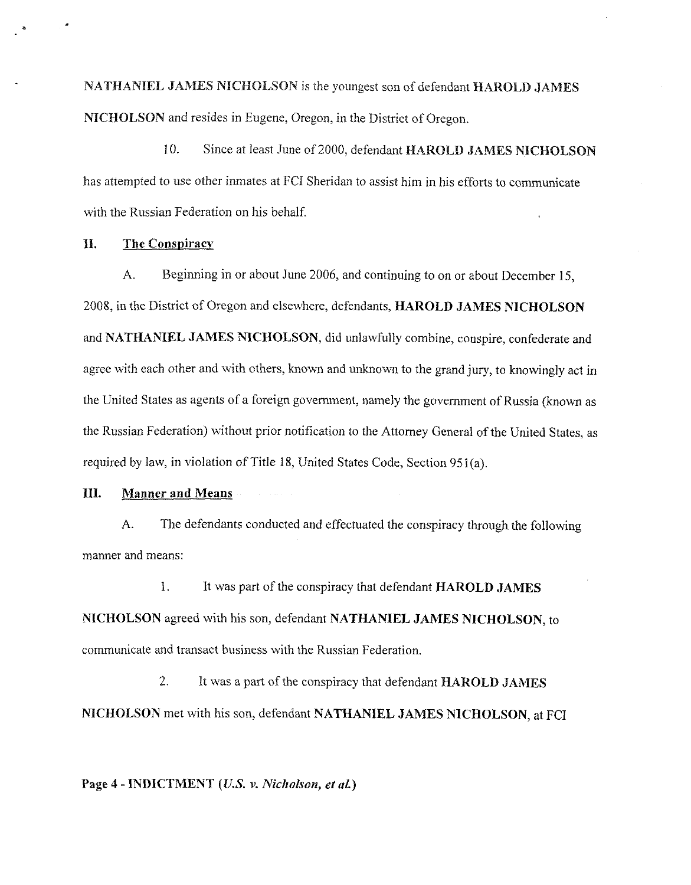NATHANIEL JAMES NICHOLSON is the youngest son of defendant HAROLD JAMES **NICHOLSON** and resides in Eugene, Oregon. in the District of Oregon.

10. Since at least June of 2000, defendant **HAROLD JAMES NICHOLSON**  has attempted to use other inmates at FCI Sheridan to assist him in his efforts to communicate with the Russian Federation on his behalf.

## **11.** The **Conspiracv**

**A.** Beginning in or about June 2006, and continuing to on or about December 15, 2008. in the District of Oregon and elsemhere, defendants, **HAROLD JAMES NICHOLSON**  and NATHANIEL JAMES NICHOLSON, did unlawfully combine, conspire, confederate and agree with each other and with others, known and unknown to the grand jury, to knowingly act in the United States as agents of a foreign government, namely the government of Russia (known as the Russian Federation) without prior notification to the Attorney General of the United States, as required by law, in violation of Title 18, United States Code, Section 951(a).

## **Ill. Manner and Means**

**A.** The defendants conducted and effectuated the conspiracy through the following manner and means:

1. It was part of the conspiracy that defendant **HAROLD JAMES NICHOLSON** agreed with his son, defendant **NATHANIEL JAMES NICHOLSON,** to communicate and transact business with the Russian Federation.

2. It was a part of the conspiracy that defendant **HAROLD JAMES NICHOLSON** met mith his son. defendant **NATHANIEL JAMES NICHOLSON,** at FCI

**Page 4** - **INDICTMENT (U.S. v. Nicholson, ei** *al.)*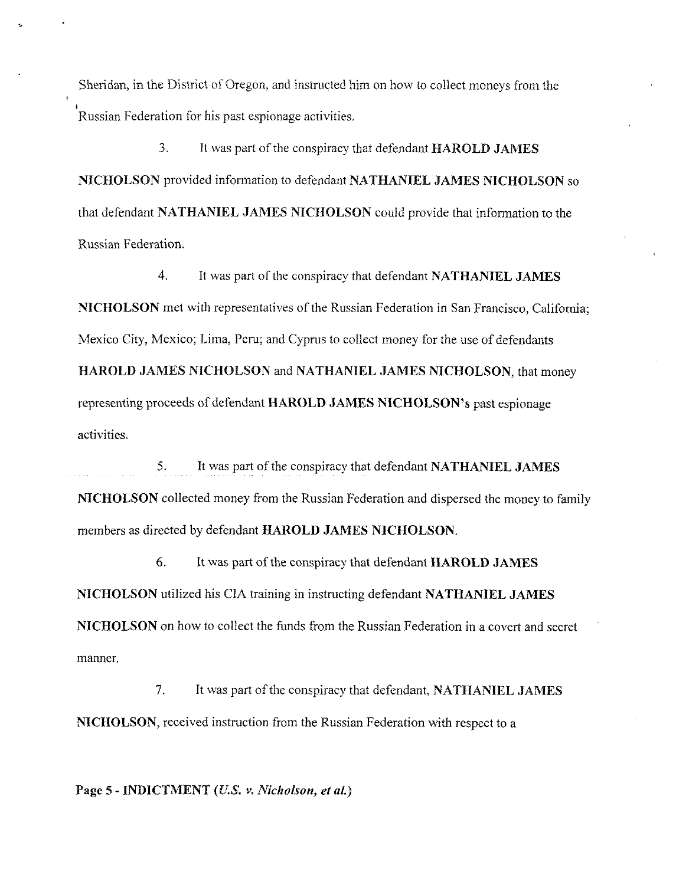Sheridan, in the District of Oregon, and instructed him on how to collect moneys from the , Russian Federation for his past espionage activities.

*3.* It was part of the conspiracy that defendant **HAROLD JAMES NICHOLSON** provided information to defendant **NATHANIEL JAMES NICHOLSON** so that defcndant **NATHAKIEL JAMES NICHOLSON** could provide that information to the Russian Federation.

4. It was part of the conspiracy that defendant **NATHANIEL JAMES NICHOLSON** met with representatives of the Russian Federation in San Francisco, California; Mexico City, Mexico; Lima, Peru; and Cyprus to collect money for the use of defendants **HAROLD JAMES NICHOLSON** and **NATHANIEL JAMES NICHOLSON,** that money representing proceeds of defendant **HAROLD JAMES NICHOLSON'S** past espionage activities.

*5.* It was part of the conspiracy that defendant **NATHANIEL JAMES NICHOLSON** collected money from the Russian Federation and dispersed the money to family members as directed by defendant **HAROLD JAMES NICHOLSON.** 

**6.** It was part of the conspiracy that defcndant **HAROLD JAMES NICHOLSON** utilized his CIA training in instructing defendant **NATHANIEL JAMES NICHOLSON** on how to collect the funds from the Russian Federation in a covert and secret manner.

7. It was part of the conspiracy that defendant, **NATHANIEL JAMES NICHOLSON,** received instruction from the Russian Federation with respect to a

Page 5 - **INDICTMENT** (*U.S. v. Nicholson, et al.*)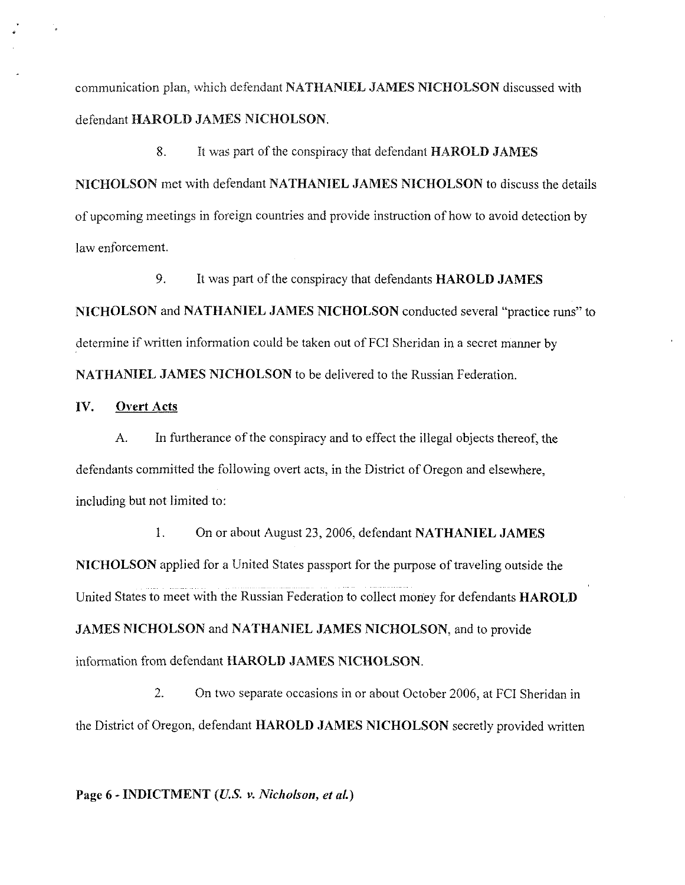communication plan, which defendant **NATHANIEL JAMES NICHOLSON** discussed with defendant **HAROLD JAMES NICHOLSON.** 

8. It was part of the conspiracy that defendant **HAROLD JAMES NICHOLSON** met with defendant **NATHANIEL JAMES NICHOLSON** to discuss the details of upcoming meetings in foreign countries and provide instruction of how to avoid detection by law enforcement.

9. It was part of the conspiracy that defendants **HAROLD JAMES NICHOLSON** and **NATHANIEL JAMES NlCHOLSON** conducted several "practice runs'' to determine if written information could be taken out of FCI Sheridan in a secret manner by **NATHANIEL JAMES NICHOLSON** to be delivered to the Russian Federation.

# IV. **Overt Acts**

**A.** In furtherance of the conspiracy and to effect the illegal objects thereof, the defendants committed the following overt acts, in the District of Oregon and elsewhere, including but not limited to:

1. On or about August *23,2006,* defendant **NATHANIEL JAMES NICHOLSON** applied for a United States passport for the purpose of traveling outside the United States to meet with the Russian Federation to collect money for defendants **HAROLD JAMES NICHOLSON** and **NATHANIEL JAMES NICHOLSON,** and to provide information from defendant **HAROLD JAMES NICHOLSON**.

2. On two separate occasions in or about October *2006,* at FCI Sheridan in the District of Oregon, defendant **HAROLD JAMES NICHOLSON** secretly provided written

**Page 6** - **INDICTMENT (U.S. v.** *Nicholson, et al.)*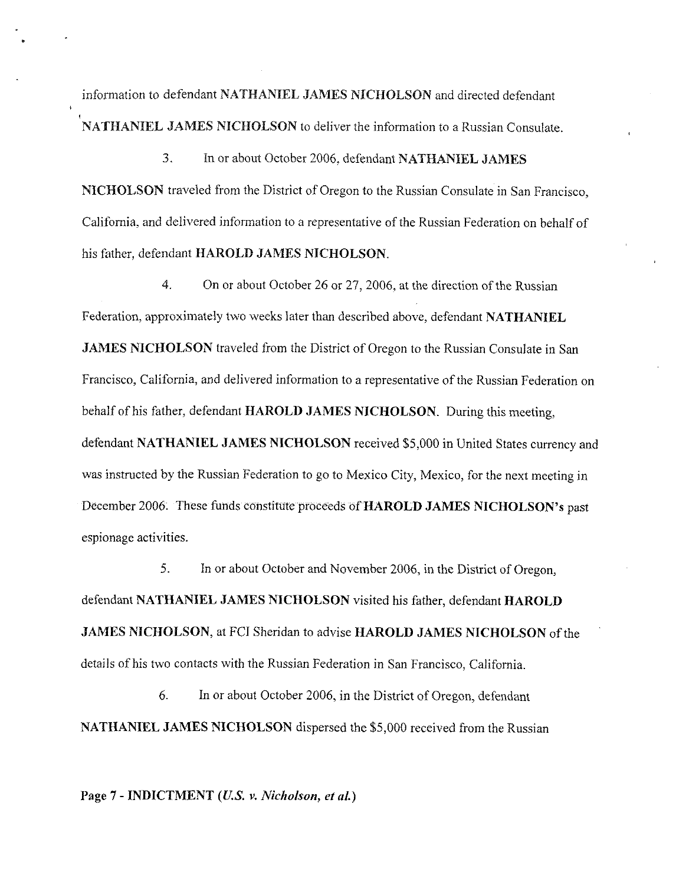information to defendant **NATHANIEL JAMES NICHOLSON** and directed defendant **NATHANIEL JAMES NICHOLSON** to deliver the information to a Russian Consulate.

**3.** In or about October 2006, defendant **NATHANIEL JAMES NICHOLSON** traveled from the District of Oregon to the Russian Consulate in San Francisco, California, and delivered information to a representative of the Russian Federation on behalf of his father, defendant **HAROLD JAMES NICHOLSON.** 

4. On or about October 26 or 27,2006, at the direction of the Russian Federation, approximately two weeks later than described above, defendant **NATHANIEL JAMES NICHOLSON** traveled from the District of Oregon to the Russian Consulate in San Francisco, California. and delivered information to a representative of the Russian Federation on behalf of his father, defendant **HAROLD JAMES NICHOLSON.** During this meeting, defendant **NATHANIEL JAMES NICHOLSON** received \$5.000 in United States currency and was instructed by the Russian Federation to go to Mexico City, Mexico, for the next meeting in December 2006. These funds constitute proceeds of **HAROLD JAMES NICHOLSON'S** past espionage activities.

5. In or about October and November 2006, in the District of Oregon, defendant **NATHANIEL JAMES NICHOLSON** visited his father, defendant **HAROLD JAMES NICHOLSON,** at **FCI** Sheridan to advise **HAROLD JAMES NICHOLSON** of the details of his two contacts with the Russian Federation in San Francisco, California.

*6.* In or about October 2006, in the District of Oregon, defendant **NATHANIEL JAMES NICHOLSON** dispersed the \$5,000 received from the Russian

Page 7 - **INDICTMENT** (*U.S. v. Nicholson, et al.*)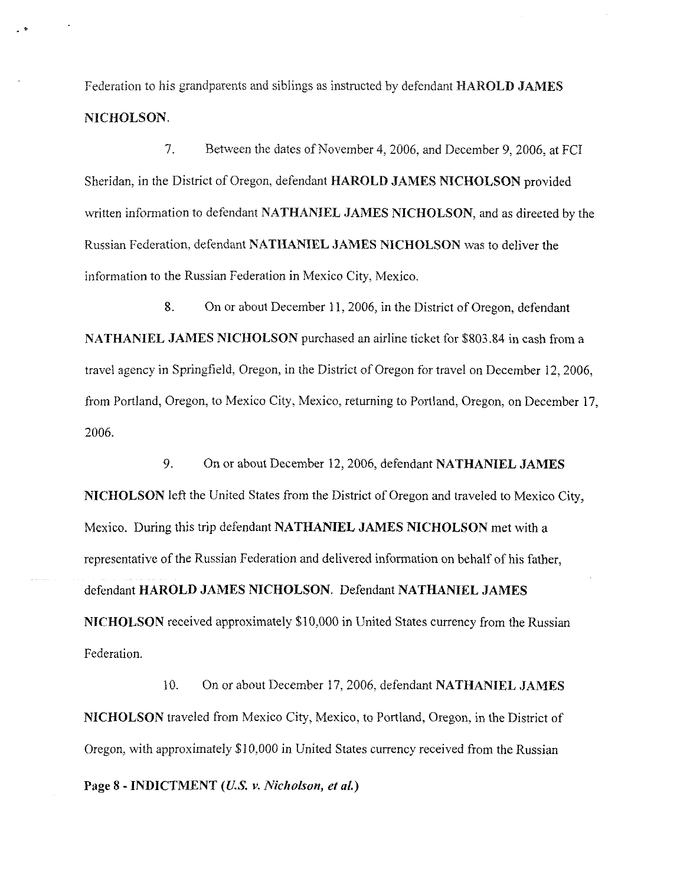Federation to his grandparents and siblings as instructed by defendant **HAROLD JAMES NICHOLSON.** 

7. Between the dates of November 4,2006, and December 9,2006, at FCI Sheridan, in the District of Oregon. defendant **HAROLD JAMES NICHOLSON** provided written information to defendant **NATHANIEL JAMES NICHOLSON,** and as directed by the Russian Federation, defendant **NATHANIEL JAMES NICHOLSON** was to deliver the information to the Russian Federation in Mexico City, Mexico.

8. On or about December 11,2006, in the District of Oregon, defendant **NATHANIEL JAMES NICHOLSON** purchased an airline ticket for \$803.84 in cash from a travel agency in Springfield, Oregon, in the District of Oregon for travel on December 12,2006, from Portland, Oregon, to Mexico City, Mexico, returning to Portland, Oregon, on December 17, 2006.

9. On or about December 12,2006, defendant **NATHANIEL JAMES NICHOLSON** left the United States from the District of Oregon and traveled to Mexico City, Mexico. During this trip defendant **NATHANIEL JAMES NICHOLSON** met with a representative of the Russian Federation and delivered information on behalf of his father, defendant **HAROLD JAMES NICHOLSON.** Defendant **NATHANIEL JAMES NICHOLSON** received approximately \$10,000 in United States currency from the Russian Federation.

10. On or about December 17,2006, defendant **NATHANIEL JAMES NICHOLSON** traveled from Mexico City, Mexico, to Portland, Oregon, in the District of Oregon, with approximately \$10,000 in United States currency received from the Russian

Page 8 - **INDICTMENT** *(U.S. v. Nicholson, et al.)*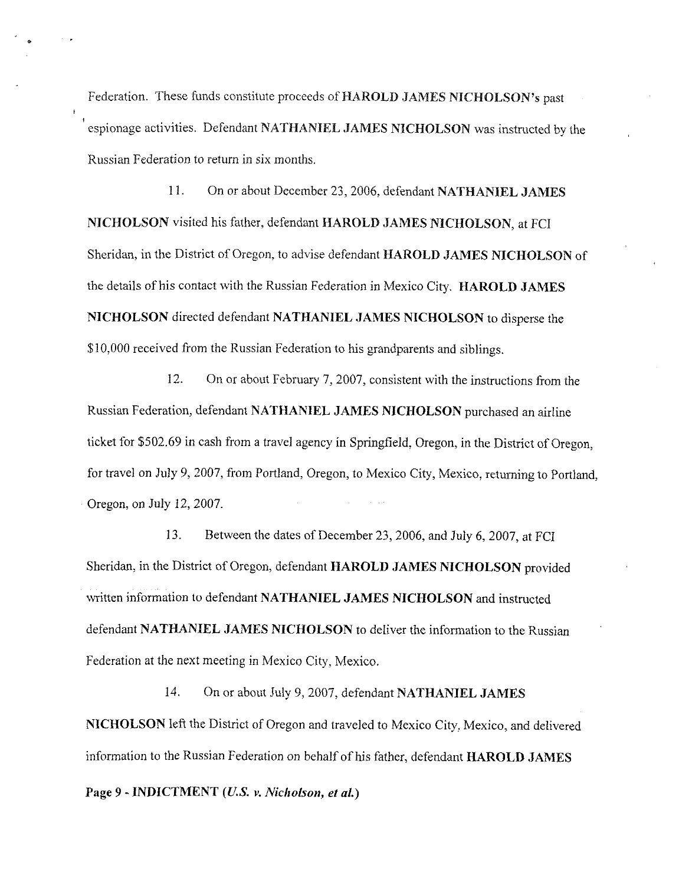Federation. These funds constitute proceeds of **HAROLD JAMES NICHOLSON'S** past espionage activities. Defendant **NATHANIEL JAMES NICHOLSON** was instructed by the Russian Federation to return in six months.

1 1. On or about December 23,2006, defendant **NATHANIEL JAMES NICHOLSON** visited his father, defendant **HAROLD JAMES NICHOLSON,** at FCI Sheridan, in the District of Oregon, to advise defendant **HAROLD JAMES NICHOLSON** of the details of his contact with the Russian Federation in Mexico City. **HAROLD JAMES NICHOLSON** directed defendant **NATHANIEL JAMES NICHOLSON** to disperse the \$10,000 received from the Russian Federation to his grandparents and siblings.

12. On or about February 7, 2007, consistent with the instructions from the Russian Federation, defendant **NATHANIEL JAMES NICHOLSON** purchased an airline ticket for \$502.69 in cash from a travel agency in Springfield. Oregon, in the District of Oregon, for travel on July 9,2007, from Portland, Oregon, to Mexico City, Mexico, returning to Portland, Oregon, on July 12,2007.

13. Between the dates of December 23,2006, and July 6,2007, at FCI Sheridan, in the District of Oregon, defendant **HAROLD JAMES NICHOLSON** provided written information to defendant **NATHANIEL JAMES NICHOLSON** and instructed defendant **NATHANIEL JAMES NICHOLSON** to deliver the information to the Russian Federation at the next meeting in Mexico City. Mexico.

14. On or about July 9,2007, defendant **NATHANIEL JAMES NICHOLSON** left the District of Oregon and traveled to Mexico City. Mexico. and delivered information to the Russian Federation on behalf of his father, defendant **HAROLD 3AMES** 

**Page 9** - **INDICTMENT** *(U.S.* **v. Nicholson,** *et al.)*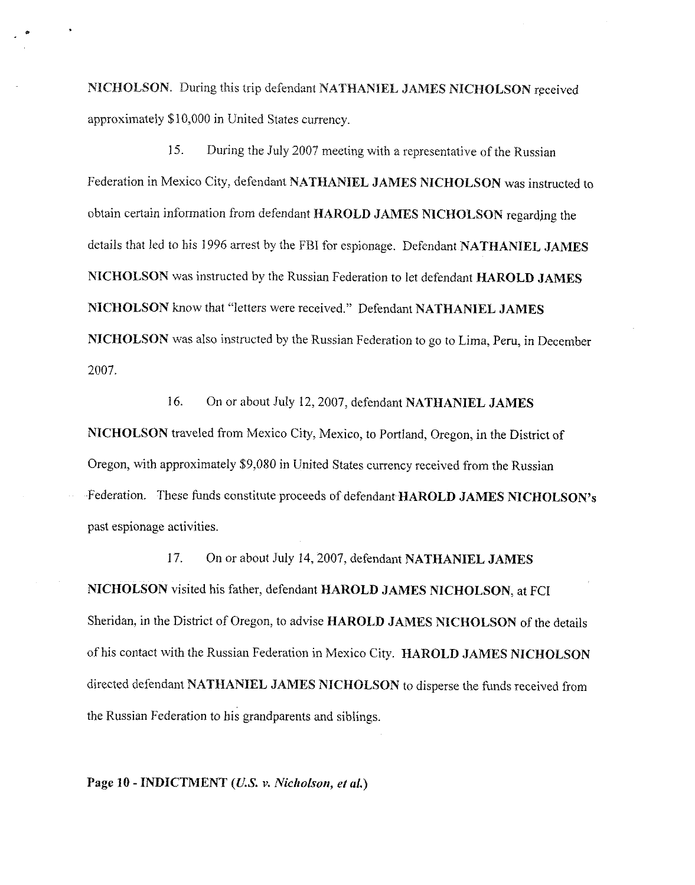**NICHOLSON.** During this trip defendant **NATHANIEL JAMES NICNOLSON** rpceived approximately \$10.000 in United States currency.

15. During the July 2007 meeting with a representative of the Russian Federation in Mexico City. defendant **NATHANIEL JAMES NICHOLSON** was instructed to obtain ceriain information from defendant **HAROLD JAMES NICHOLSON** regardjng the details that led to his 1996 arrest by the FBI for espionage. Defendant **NATHANIEL JAMES NICHOLSON** was instructed by the Russian Federation to let defendant **HAROLD JAMES NICHOLSON** how that "letters were received." Defendant **NATHANIEL JAMES NICHOLSON** was also instructed by the Russian Federation to go to Lima, Peru, in December 2007.

16. On or about July 12,2007, defendant **NATHANIEL JAMES NICHOLSON** traveled from Mexico City, Mexico, to Portland, Oregon, in the District of Oregon, with approximately \$9,080 in United States currency received from the Russian Federation. These funds constitute proceeds of defendant **HAROLD JAMES NICHOLSON'S**  past espionage activities.

17. On or about July 14,2007, defendant **NATHANIEL JAMES NICHOLSON** visited his father, defendant **HAROLD JAMES NICHOLSON, at FCI**  Sheridan, in the District of Oregon, to advise **HAROLD JAMES NICHOLSON** of the details of his contact with the Russian Federation in Mexico City. **HAROLD JAMES NICHOLSON**  directed defendant **NATHANIEL JAMES NICHOLSON** to disperse the funds received from the Russian Federation to his grandparents and siblings.

**Page 10** - **INDICTMENT** *(US.* **v.** *Nicholson, et al.)*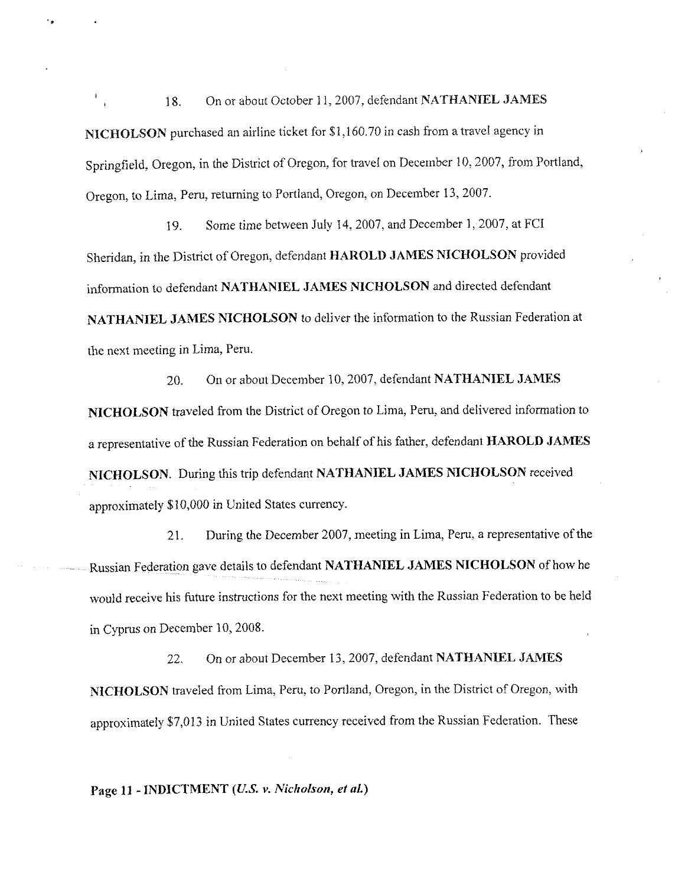18. On or about October 11, 2007, defendant **NATHANIEL JAMES NICHOLSON** purchased an airline ticket for \$1,160.70 in cash from a travel agency in Springfield, Oregon, in the District of Oregon, for travel on December 10, 2007, from Portland, Oregon, to Lima, Peru, returning to Portland, Oregon, on December 13,2007.

19. Some time between July 14.2007, and December I, 2007, at FCI Sheridan, in the District of Oregon, defendant **HAROLD JAMES NICHOLSON** provided information to defendant **NATHANIEL JAMES NICHOLSON** and directed defendant **NATHANIEL JAMES NICHOLSON** to deliver the information to the Russian Federation at the next meeting in Lima, Peru.

20. On or about December 10.2007, defendant **NATHANIEL JAMES NICHOLSON** traveled from the District of Oregon to Lima, Peru, and delivered information to a representative of the Russian Federation on behalf of his father, defendant **HAROLD JAMES NICHOLSON.** During this trip defendant **NATHANIEL JAMES NICHOLSON** received approximately \$10,000 in United States currency.

21. During the December 2007, meeting in Lima, Peru, a representative of the Russian Federation gave details to defendant **NATHANIEL JAMES NICHOLSON** of how he would receive his future instructions for the next meeting with the Russian Federation to be held in Cyprus on December 10,2008.

22. On or about December 13,2007, defendant **NATHANIEL JAMES NICHOLSON** traveled from Lima, Peru, to Portland, Oregon, in the District of Oregon, with approximately \$7,013 in United States currency received from the Russian Federation. These

**Page 11 -INDICTMENT (U.S. v. Nicholson,** *et aL)*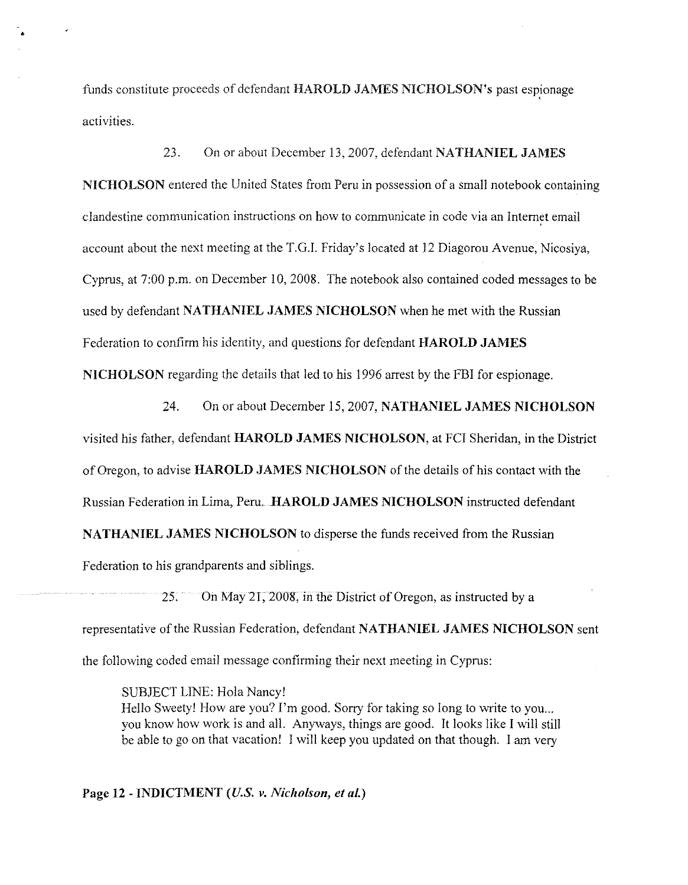funds constitute proceeds of defendant **HAROLD** JAMES **NICHOLSON'S** past espionage activities.

23. On or about December 13,2007, defendant **NATHANIEL JAMES NICHOLSON** entered the United States from Peru in possession of a small notebook containing clandestine communication instructions on how to communicate in code via an Internet email account about the next meeting at the T.G.I. Friday's located at 12 Diagorou Avenue, Nicosiya, Cyprus, at 7:00 p.m. on December 10,2008. The notebook also contained coded messages to be used by defendant **NATHANIEL JAMES NICHOLSON** when he met with the Russian Federation to confirm his identity, and questions for defendant **HAROLD JAMES NICHOLSON** regarding the details that led to his 1996 arrest by the FBI for espionage.

24. On or about December 15,2007, **NATHANIEL JAMES NICHOLSON**  visited his father, defendant **HAROLD JAMES NICHOLSON,** at **FCI** Sheridan, in the District of Oregon, to advise **HAROLD JAMES NICHOLSON** of the details of his contact with the Russian Federation in Lima, Peru. **HAROLD JAMES NICHOLSON** instructed defendant **NATHANIEL JAMES NICHOLSON** to disperse the funds received from the Russian Federation to his grandparents and siblings

25. On May 21,2008, in the District of Oregon, as instructed by a representative of the Russian Federation, defendant **NATHANIEL JAMES NICHOLSON** sent the following coded email message confirming their next meeting in Cyprus:

SUBJECT LINE: Hola Nancy!

Hello Sweety! How are you? I'm good. Sorry for taking so long to write to you... you know how work is and all. Anyways, things are good. It looks like I will still be able to go on that vacation! I will keep you updated on that though. I am very

**Page 12** - **INDICTMENT** *(U.S.* **v. Nicholson, ef** *al.)*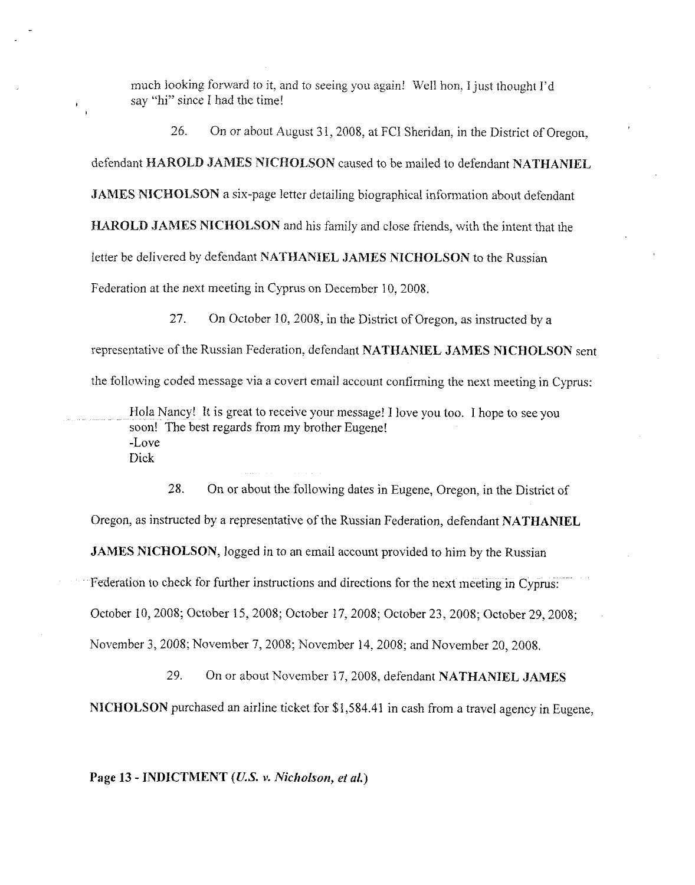much looking forward to it, and to seeing you again! Well hon, I just thought I'd say "hi" since I had the time!

26. On or about August 31,2008, at FCI Sheridan, in the District of Oregon,

defendant **HAROLD JAMES NICHOLSON** caused to be mailed to defendant **NATHANIEL** 

**JAMES NICHOLSON** a six-page letter detailing biographical information about defendant

**HAROLD JAMES NICHOLSON** and his family and close friends, with the intent that the

letter be delivered by defendant **NATHANIEL JAMES NICHOLSON** to the Russian

Federation at the next meeting in Cyprus on December 10,2008.

27. On October 10,2008, in the District of Oregon, as instructed by a

representative of the Russian Federation, defendant **NATHANIEL JAMES NICHOLSON** sent

the following coded message via a covert email account confirming the next meeting in Cyprus:

Hola Nancy! It is great to receive your message! I love you too. I hope to see you soon! The best regards from my brother Eugene! -Love Dick

28. On or about the following dates in Eugene, Oregon, in the District of Oregon, as instructed by a representative of the Russian Federation, defendant **NATHANIEL JAMES NICHOLSON,** logged in to an email account provided to him by the Russian Federation to check for further instructions and directions for the next meeting in Cyprus:

October 10,2008; October 15,2008; October 17,2008; October 23,2008; October 29,2008;

November 3,2008; November 7,2008; November 14,2008; and November 20,2008,

29. On or about November 17,2008, defendant **NATHANIEL JAMES** 

**NICHOLSON** purchased an airline ticket for \$1,584.41 in cash from a travel agency in Eugene,

**Page 13** - **INDICTMENT (US. v. Nicholson,** *et al.)*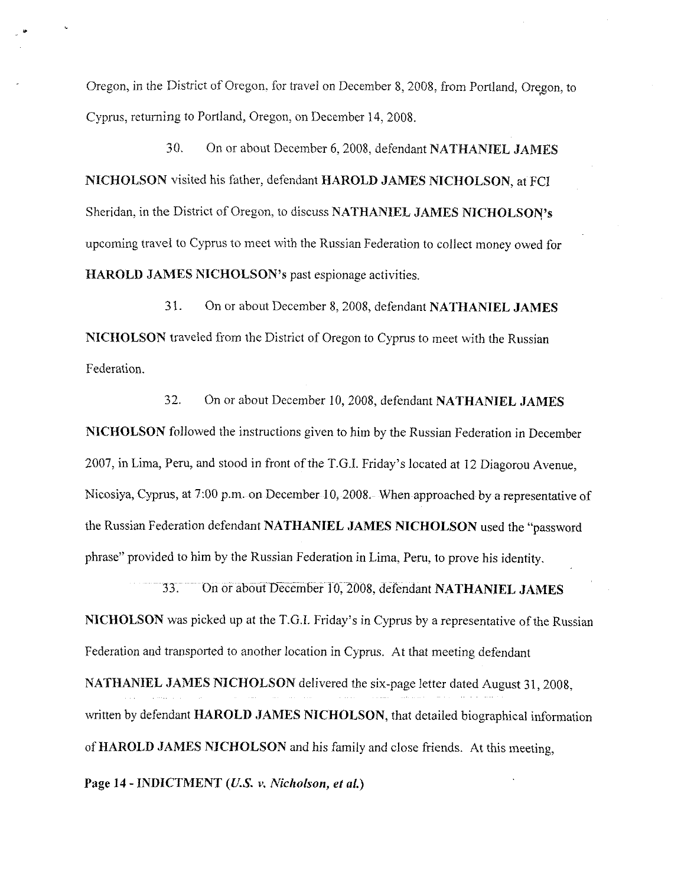Oregon, in the District of Oregon, for travel on December 8, 2008, from Portland, Oregon, to Cyprus, returning to Portland, Oregon, on December 14,2008.

30. On or about December 6,2008, defendant **NATHANIEL JAMES NICHOLSON** visited his father, defendant **HAROLD JAMES NICHOLSON,** at FC1 Sheridan, in the District of Oregon, to discuss **NATHANIEL JAMES NICHOLSON'S**  upcoming travel to Cyprus to meet with the Russian Federation to collect money owed for **HAROLD JAMES NICHOLSON'S** past espionage activities.

*3* 1. On or about December 8,2008, defendant **NATHANIEL JAMES**  NICHOLSON traveled from the District of Oregon to Cyprus to meet with the Russian Federation.

32. On or about December 10,2008, defendant **NATHANIEL JAMES NICHOLSON** followed the instructions given to him by the Russian Federation in December 2007, in Lima, Peru, and stood in front of the T.G.I. Friday's located at 12 Diagorou Avenue. Nicosiya, Cyprus, at 7:00 p.m. on December 10,2008. When approached by a representative of the Russian Federation defendant **NATHANIEL JAMES NICHOLSON** used the "password phrase" provided to him by the Russian Federation in Lima, Peru, to prove his identity.

33. On or about December 10,2008, defendant **NATHANIEL JAMES NICHOLSON** was picked up at the T.G.I. Friday's in Cyprus by a representative of the Russian Federation and transported to another location in Cyprus. At that meeting defendant

**NATHANIEL JAMES NICHOLSON** delivered the six-page letter dated August 31, 2008. written by defendant **HAROLD JAMES NICHOLSON,** that detailed biographical information of **HAROLD JAMES NICHOLSON** and his family and close friends. At this meeting,

Page 14 - **INDICTMENT** (*U.S. v. Nicholson, et al.*)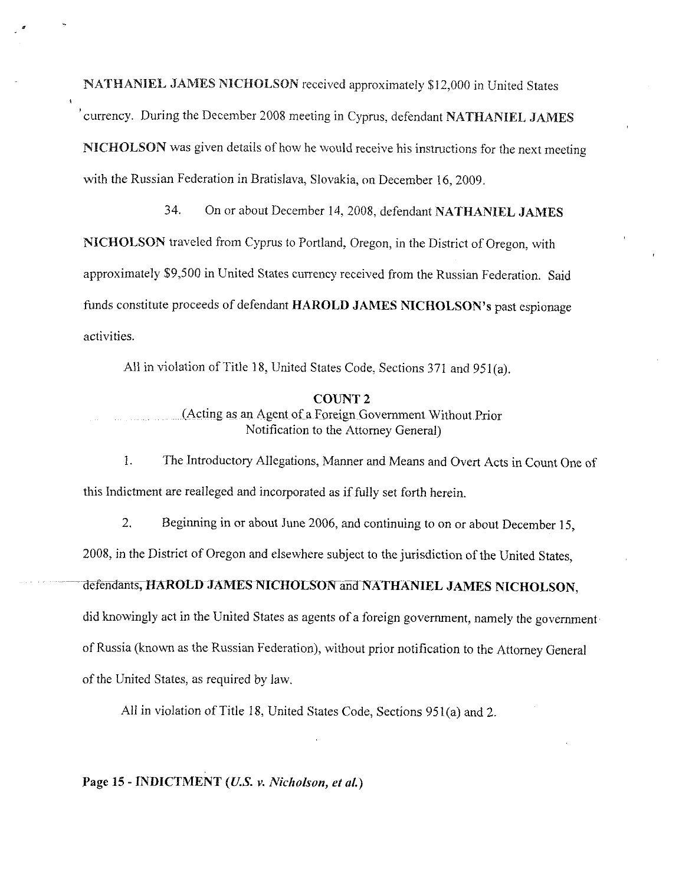NATHANIEL JAMES NICHOLSON received approximately \$12,000 in United States currency. During the December 2008 meeting in Cyprus, defendant NATHANIEL JAMES NICHOLSON was given details of how he would receive his instructions for the next meeting with the Russian Federation in Bratislava, Slovakia, on December 16,2009.

34. On or about December 14,2008. defendant NATHANIEL JAMES NICHOLSON traveled from Cyprus to Portland, Oregon, in the District of Oregon, with approximately \$9,500 in United States cunency received from the Russian Federation. Said funds constitute proceeds of defendant HAROLD JAMES NICHOLSON'S past espionage activities.

All in violation of Title 18, United States Code, Sections 371 and 951(a).

#### COUNT **2**

(Acting as an Agent of a Foreign Government Without Prior Notification to the Attomey General)

1. The Introductory Allegations, Manner and Means and Overt Acts in Count One of this Indictment are realleged and incorporated as if fully set forth herein.

2. Beginning in or about June 2006, and continuing to on or about December 15,

2008, in the District of Oregon and elsewhere subject to the jurisdiction of the United States,

# defendants, HAROLD JAMES NICHOLSON and NATHANIEL JAMES NICHOLSON,

did knowingly act in the United States as agents of a foreign government, namely the government

of Russia (known as the Russian Federation), without prior notification to the Attorney General

of the United States, as required by law.

All in violation of Title 18, United States Code, Sections 951(a) and 2.

Page 15 - **INDICTMENT** *(U.S. v. Nicholson, et al.)*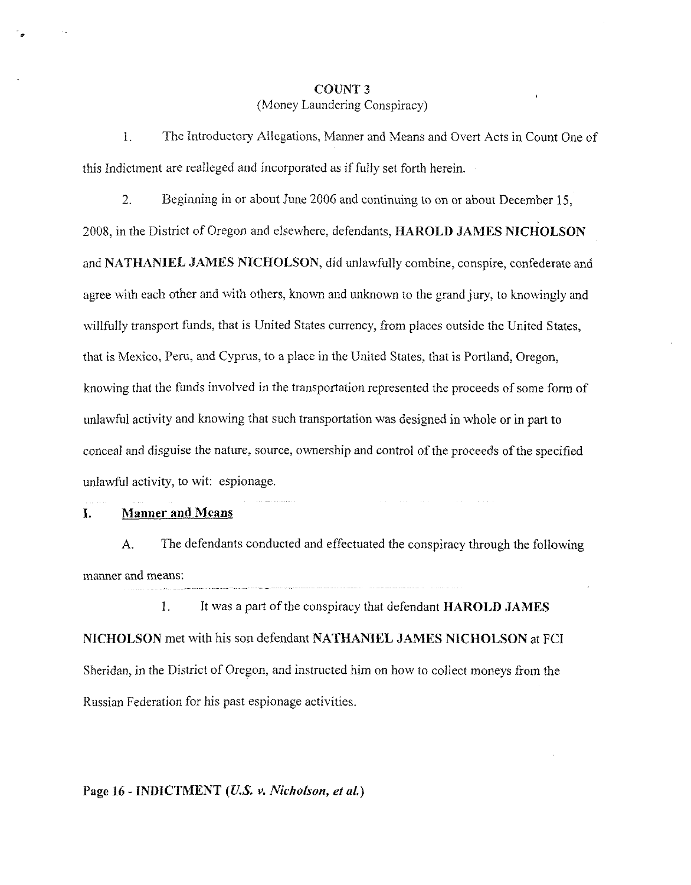# **COUNT 3**  (Money Laundering Conspiracy)

1. The Introductory Allegations, Manner and Means and Overt Acts in Count One of this Indictment are realleged and incorporated as if fully set forth herein

2. Beginning in or about June 2006 and continuing to on or about December 15,

2008, in the District of Oregon and elsewhere, defendants, **HAROLD JAMES NICHOLSON**  and **NATHANIEL JAMES NICHOLSON,** did unlawfully combine, conspire, confederate and agree with each other and with others, known and unknown to the grand jury, to knowingly and willfully transport funds, that is United States currency, from places outside the United States, that is Mexico, Peru, and Cyprus, to a piace in the United States, that is Portland, Oregon, knowing that the funds involved in the transportation represented the proceeds of some form of unlawful activity and knowing that such transportation was designed in whole or in part to conceal and disguise the nature, source, ownership and control of the proceeds of the specified unlawful activity, to wit: espionage.

## **I. Manner and Means**

**A.** The defendants conducted and effectuated the conspiracy through the following manner and means:

1. It was a part of the conspiracy that defendant **HAROLD JAMES NICHOLSON** met with his son defendant **NATHANIEL JAMES NICHOLSON** at **FCI**  Sheridan, in the District of Oregon, and instructed him on how to collect moneys from the Russian Federation for his past espionage activities.

## **Page 16** - **INDICTMENT** *(U.S.* **v.** *Nicholson, et al.)*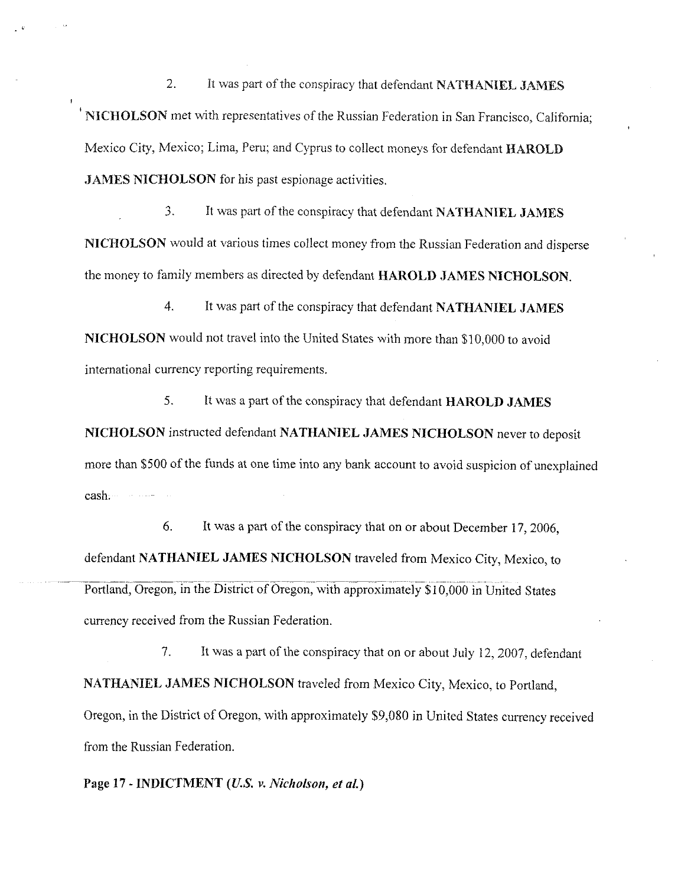2. 11 was part of the conspiracy that defendant **NATHANIEL JAMES**  NICHOLSON met with representatives of the Russian Federation in San Francisco, California; Mexico City, Mexico; Lima, Peru; and Cyprus to collect moneys for defendant **HAROLD JAMES NICHOLSON** for his past espionage activities.

3. It was part of the conspiracy that defendant **NATHANIEL JAMES NICHOLSON** would at various times collect money from the Russian Federation and disperse the money to family members as directed by defendant **HAROLD JAMES NICHOLSON.** 

4. It was part of the conspiracy that defendant **NATHANIEL JAMES NICHOLSON** would not travel into the United States with more than \$10,000 to avoid international currency reporting requirements.

**5.** It was a part of the conspiracy that defendant **HAROLD JAMES NICHOLSON** instructed defendant **NATHANIEL JAMES NICHOLSON** never to deposit more than \$500 of the funds at one time into any bank account to avoid suspicion of unexplained cash.

*6.* It was a part of the conspiracy that on or about December 17,2006, defendant **NATHANIEL JAMES NICHOLSON** traveled from Mexico City, Mexico, to ~ .. - ~~~~ ~~ . . ~ Portland, Oregon, in the District of Oregon, with approximately \$10,000 in United States currency received from the Russian Federation.

7. It was a part of the conspiracy that on or about July 12,2007, defendant **NATHANIEL JAMES NICHOLSON** traveled from Mexico City, Mexico, to Portland, Oregon, in the District of Oregon, with approximately \$9,080 in United States currency received from the Russian Federation.

**Page 17 -INDICTMENT** *(U.S.* **v.** *Nicholson, et al.)*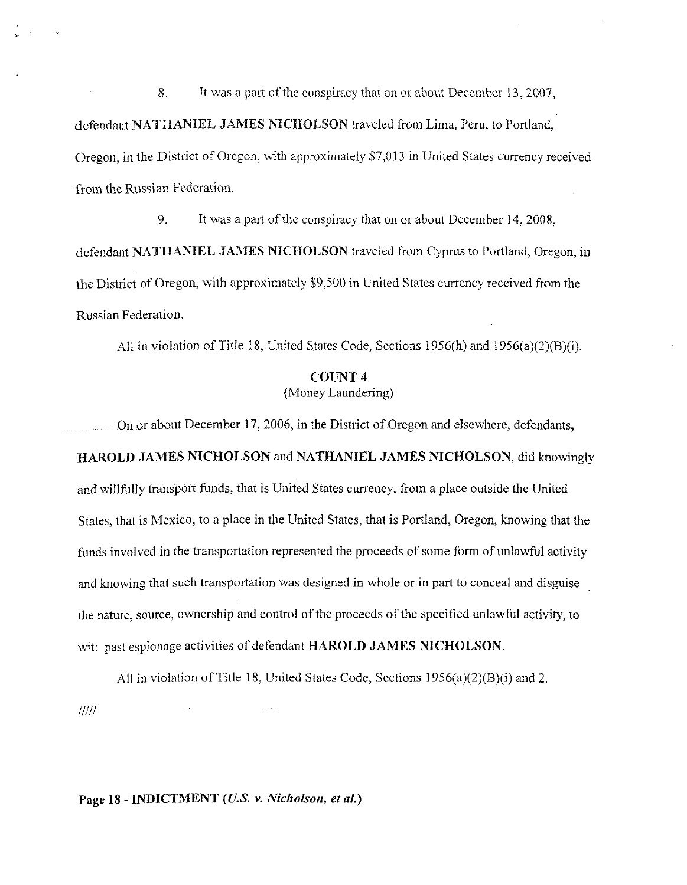8. It was a part of the conspiracy that on or about December 13,2007, defendant **NATHANIEL JAMES NICHOLSON** traveled from Lima, Peru, to Portland, Oregon, in the District of Oregon, with approximately \$7,013 in United States currency received from the Russian Federation.

9. It was a part of the conspiracy that on or about December 14,2008, defendant **NATHANIEL JAMES NICHOLSON** traveled from Cyprus to Portland, Oregon, in the District of Oregon, with approximately \$9,500 in United States currency received from the Russian Federation

,411 in violation of Title 18, United States Code, Sections 1956(h) and 1956(a)(2)(B)(i).

# **COUNT 4**  (Money Laundering)

On or about December 17,2006, in the District of Oregon and elsewhere, defendants, **HAROLD JAMES NICHOLSON** and **NATHANIEL JAMES NICHOLSON,** did knowingly and willfully transport funds. that is United States currency, from a place outside the United States, that is Mexico, to a place in the United States, that is Portland, Oregon, knowing that the funds involved in the transportation represented the proceeds of some form of unlawful activity and knowing that such transportation was designed in whole or in part to conceal and disguise the nature, source, ownership and control of the proceeds of the specified unlawful activity, to wit: past espionage activities of defendant **HAROLD JAMES NICHOLSON.** 

All in violation of Title 18, United States Code, Sections 1956(a)(2)(B)(i) and 2.  $IIII$ 

**Page 18** - **INDICTMENT (U.S. v.** *Nicholson, et* **al.)**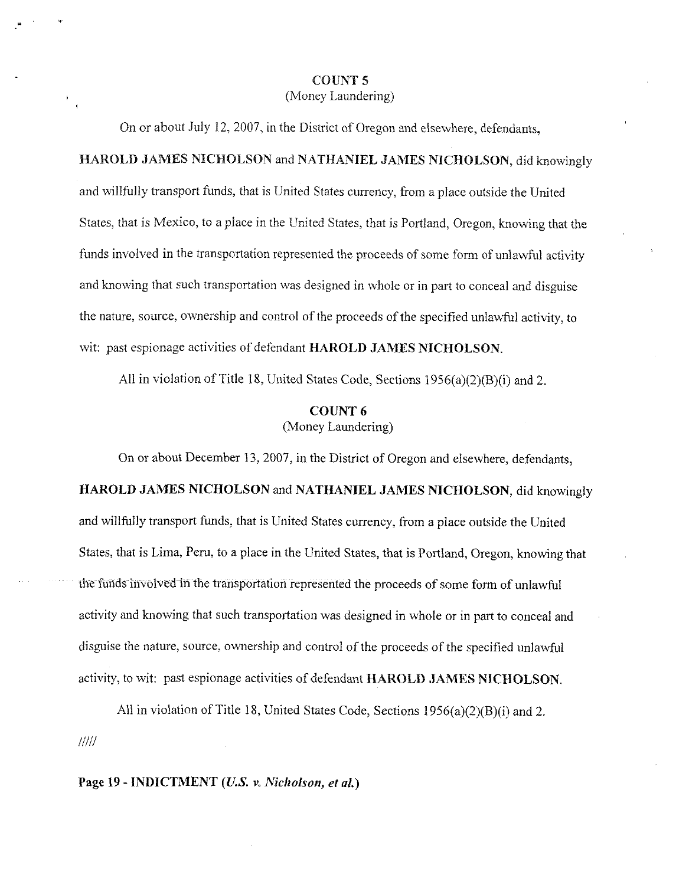## COUNT 5 (Money Laundering)

On or about July 12,2007, in the District of Oregon and elsewhere, defendants,

# HAROLD JAMES NICHOLSON and NATHANIEL JAMES NICHOLSON, did knowingly

and willfully transport funds, that is United States currency, from a place outside the United States, that is Mexico, to a place in the United States, that is Portland, Oregon, knowing that the funds involved in the transportation represented the proceeds of some form of unlawful activity and knowing that such transportation was designed in whole or in part to conceal and disguise the nature, source, ownership and control of the proceeds of the specified unlawful activity, to wit: past espionage activities of defendant HAROLD JAMES NICHOLSON.

All in violation of Title 18, United States Code, Sections 1956(a)(2)(B)(i) and 2.

## COUNT *6*  (Money Laundering)

On or about December 13,2007, in the District of Oregon and elsewhere, defendants, HAROLD JAMES NICHOLSON and NATHANIEL JAMES NICHOLSON, did knowingly and willfully transport funds, that is United States currency, from a place outside the United States, that is Lima. Peru, to a place in the United States, that is Portland, Oregon, knowing that the funds involved in the transportation represented the proceeds of some form of unlawful activity and knowing that such transportation was designed in whole or in part to conceal and disguise the nature, source, ownership and control of the proceeds of the specified unlawful activity, to wit: past espionage activities of defendant HAROLD JAMES NICHOLSON.

All in violation of Title 18, United States Code, Sections 1956(a)(2)(B)(i) and 2. !I/!!

**Page** 19 - INDICTMENT *(US.* **v.** Nicholson, *et al.)*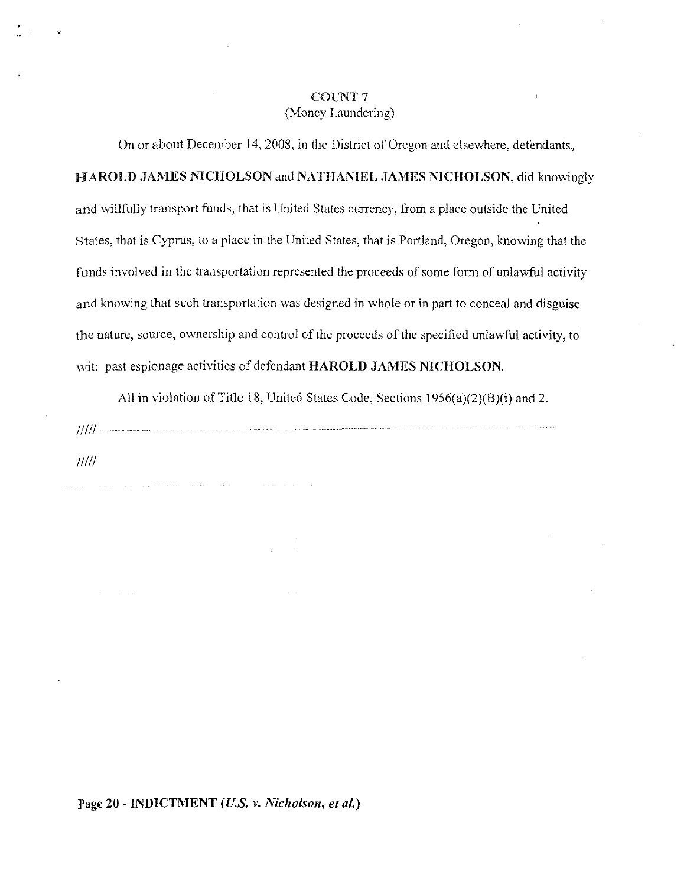## **COUNT 7**  (Money Laundering)

On or about December 14,2008, in the District of Oregon and elsewhere, defendants, **HAROLD JAMES NICHOLSON** and **NATHANIEL JAMES NICHOLSON,** did knowingly and willfully transport funds, that is United States currency, from a place outside the United States, that is Cyprus, to a place in the United States, that is Portland, Oregon, knowing that the funds involved in the transportation represented the proceeds of some form of unlawful activity and knowing that such transportation was designed in whole or in part to conceal and disguise the nature, source, ownership and control of the proceeds of the specified unlawful activity, to wit: past espionage activities of defendant **HAROLD JAMES NICHOLSON.** 

All in violation of Title 18, United States Code, Sections 1956(a)(2)(B)(i) and 2.

 $IIII$ 

**Page 20** - **INDICTMENT** *(US. v. Nicholson, et al.)*